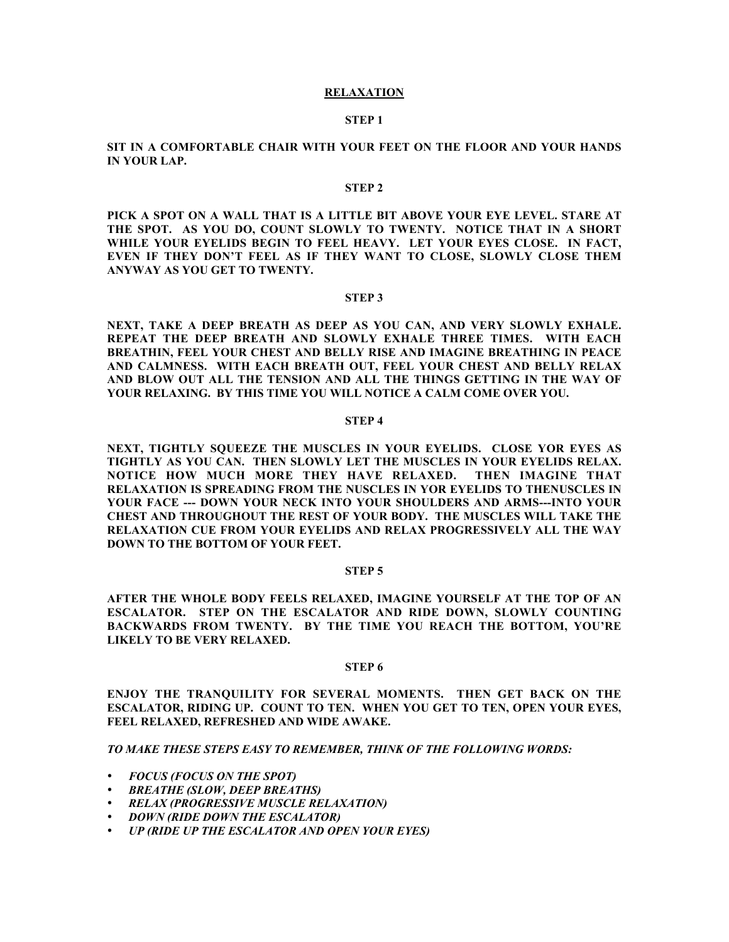### **RELAXATION**

#### **STEP 1**

# **SIT IN A COMFORTABLE CHAIR WITH YOUR FEET ON THE FLOOR AND YOUR HANDS IN YOUR LAP.**

#### **STEP 2**

**PICK A SPOT ON A WALL THAT IS A LITTLE BIT ABOVE YOUR EYE LEVEL. STARE AT THE SPOT. AS YOU DO, COUNT SLOWLY TO TWENTY. NOTICE THAT IN A SHORT WHILE YOUR EYELIDS BEGIN TO FEEL HEAVY. LET YOUR EYES CLOSE. IN FACT, EVEN IF THEY DON'T FEEL AS IF THEY WANT TO CLOSE, SLOWLY CLOSE THEM ANYWAY AS YOU GET TO TWENTY.**

## **STEP 3**

**NEXT, TAKE A DEEP BREATH AS DEEP AS YOU CAN, AND VERY SLOWLY EXHALE. REPEAT THE DEEP BREATH AND SLOWLY EXHALE THREE TIMES. WITH EACH BREATHIN, FEEL YOUR CHEST AND BELLY RISE AND IMAGINE BREATHING IN PEACE AND CALMNESS. WITH EACH BREATH OUT, FEEL YOUR CHEST AND BELLY RELAX AND BLOW OUT ALL THE TENSION AND ALL THE THINGS GETTING IN THE WAY OF YOUR RELAXING. BY THIS TIME YOU WILL NOTICE A CALM COME OVER YOU.**

### **STEP 4**

**NEXT, TIGHTLY SQUEEZE THE MUSCLES IN YOUR EYELIDS. CLOSE YOR EYES AS TIGHTLY AS YOU CAN. THEN SLOWLY LET THE MUSCLES IN YOUR EYELIDS RELAX. NOTICE HOW MUCH MORE THEY HAVE RELAXED. THEN IMAGINE THAT RELAXATION IS SPREADING FROM THE NUSCLES IN YOR EYELIDS TO THENUSCLES IN YOUR FACE --- DOWN YOUR NECK INTO YOUR SHOULDERS AND ARMS---INTO YOUR CHEST AND THROUGHOUT THE REST OF YOUR BODY. THE MUSCLES WILL TAKE THE RELAXATION CUE FROM YOUR EYELIDS AND RELAX PROGRESSIVELY ALL THE WAY DOWN TO THE BOTTOM OF YOUR FEET.**

#### **STEP 5**

**AFTER THE WHOLE BODY FEELS RELAXED, IMAGINE YOURSELF AT THE TOP OF AN ESCALATOR. STEP ON THE ESCALATOR AND RIDE DOWN, SLOWLY COUNTING BACKWARDS FROM TWENTY. BY THE TIME YOU REACH THE BOTTOM, YOU'RE LIKELY TO BE VERY RELAXED.**

# **STEP 6**

**ENJOY THE TRANQUILITY FOR SEVERAL MOMENTS. THEN GET BACK ON THE ESCALATOR, RIDING UP. COUNT TO TEN. WHEN YOU GET TO TEN, OPEN YOUR EYES, FEEL RELAXED, REFRESHED AND WIDE AWAKE.**

*TO MAKE THESE STEPS EASY TO REMEMBER, THINK OF THE FOLLOWING WORDS:*

*FOCUS (FOCUS ON THE SPOT) BREATHE (SLOW, DEEP BREATHS) RELAX (PROGRESSIVE MUSCLE RELAXATION) DOWN (RIDE DOWN THE ESCALATOR) UP (RIDE UP THE ESCALATOR AND OPEN YOUR EYES)*